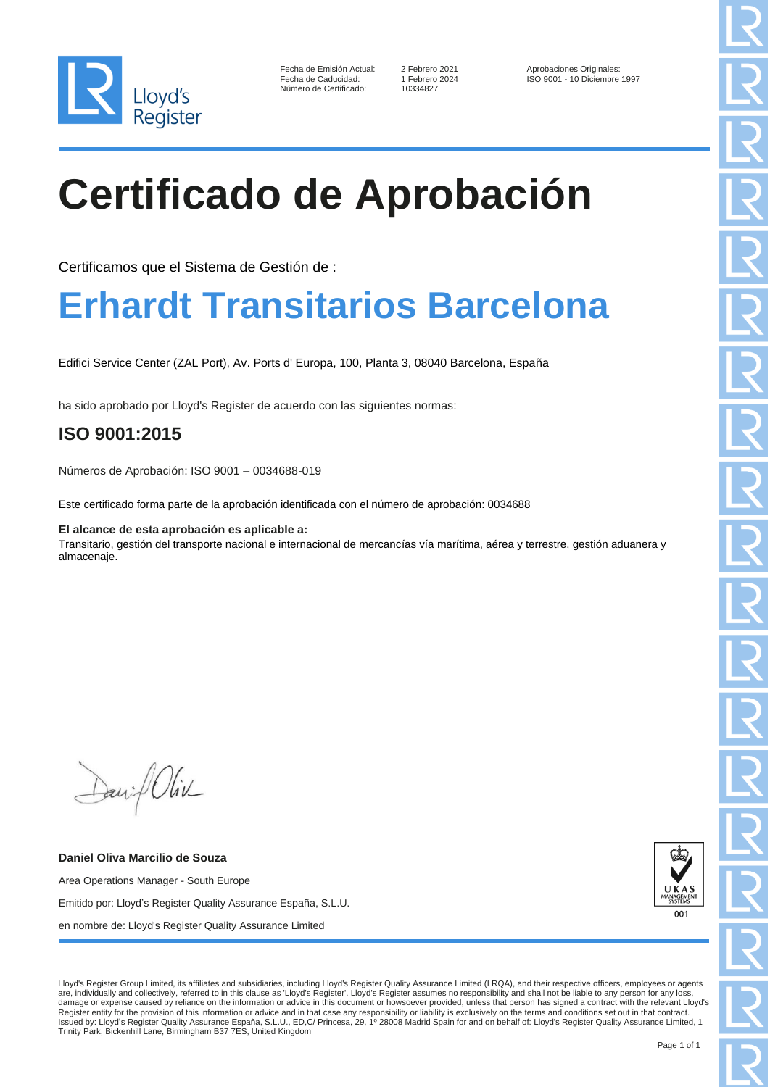

| Fecha de Emisión Actual: |
|--------------------------|
| Fecha de Caducidad:      |
| Número de Certificado:   |

10334827

2 Febrero 2021 <br>1 Febrero 2024 <br>1 ISO 9001 - 10 Diciembre ISO 9001 - 10 Diciembre 1997

# **Certificado de Aprobación**

Certificamos que el Sistema de Gestión de :

## **Erhardt Transitarios Barcelona**

Edifici Service Center (ZAL Port), Av. Ports d' Europa, 100, Planta 3, 08040 Barcelona, España

ha sido aprobado por Lloyd's Register de acuerdo con las siguientes normas:

### **ISO 9001:2015**

Números de Aprobación: ISO 9001 – 0034688-019

Este certificado forma parte de la aprobación identificada con el número de aprobación: 0034688

#### **El alcance de esta aprobación es aplicable a:**

Transitario, gestión del transporte nacional e internacional de mercancías vía marítima, aérea y terrestre, gestión aduanera y almacenaje.

Daniel Oliv

**Daniel Oliva Marcilio de Souza** Area Operations Manager - South Europe Emitido por: Lloyd's Register Quality Assurance España, S.L.U. en nombre de: Lloyd's Register Quality Assurance Limited



Lloyd's Register Group Limited, its affiliates and subsidiaries, including Lloyd's Register Quality Assurance Limited (LRQA), and their respective officers, employees or agents are, individually and collectively, referred to in this clause as 'Lloyd's Register'. Lloyd's Register assumes no responsibility and shall not be liable to any person for any loss, damage or expense caused by reliance on the information or advice in this document or howsoever provided, unless that person has signed a contract with the relevant Lloyd's Register entity for the provision of this information or advice and in that case any responsibility or liability is exclusively on the terms and conditions set out in that contract.<br>Issued by: Lloyd's Register Quality Assu Trinity Park, Bickenhill Lane, Birmingham B37 7ES, United Kingdom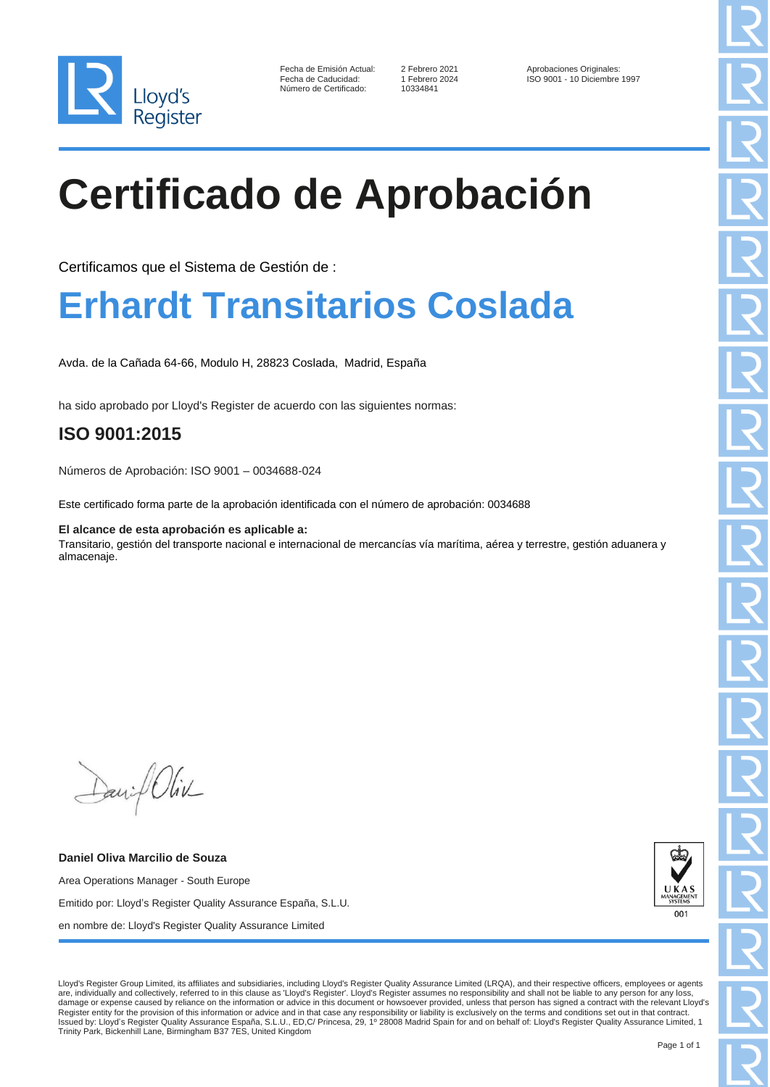

10334841

2 Febrero 2021 <br>1 Febrero 2024 <br>1 ISO 9001 - 10 Diciembre ISO 9001 - 10 Diciembre 1997

# **Certificado de Aprobación**

Certificamos que el Sistema de Gestión de :

## **Erhardt Transitarios Coslada**

Avda. de la Cañada 64-66, Modulo H, 28823 Coslada, Madrid, España

ha sido aprobado por Lloyd's Register de acuerdo con las siguientes normas:

### **ISO 9001:2015**

Números de Aprobación: ISO 9001 – 0034688-024

Este certificado forma parte de la aprobación identificada con el número de aprobación: 0034688

**El alcance de esta aprobación es aplicable a:**

Transitario, gestión del transporte nacional e internacional de mercancías vía marítima, aérea y terrestre, gestión aduanera y almacenaje.

Daniel Oliv

**Daniel Oliva Marcilio de Souza** Area Operations Manager - South Europe Emitido por: Lloyd's Register Quality Assurance España, S.L.U. en nombre de: Lloyd's Register Quality Assurance Limited



Lloyd's Register Group Limited, its affiliates and subsidiaries, including Lloyd's Register Quality Assurance Limited (LRQA), and their respective officers, employees or agents are, individually and collectively, referred to in this clause as 'Lloyd's Register'. Lloyd's Register assumes no responsibility and shall not be liable to any person for any loss, damage or expense caused by reliance on the information or advice in this document or howsoever provided, unless that person has signed a contract with the relevant Lloyd's Register entity for the provision of this information or advice and in that case any responsibility or liability is exclusively on the terms and conditions set out in that contract.<br>Issued by: Lloyd's Register Quality Assu Trinity Park, Bickenhill Lane, Birmingham B37 7ES, United Kingdom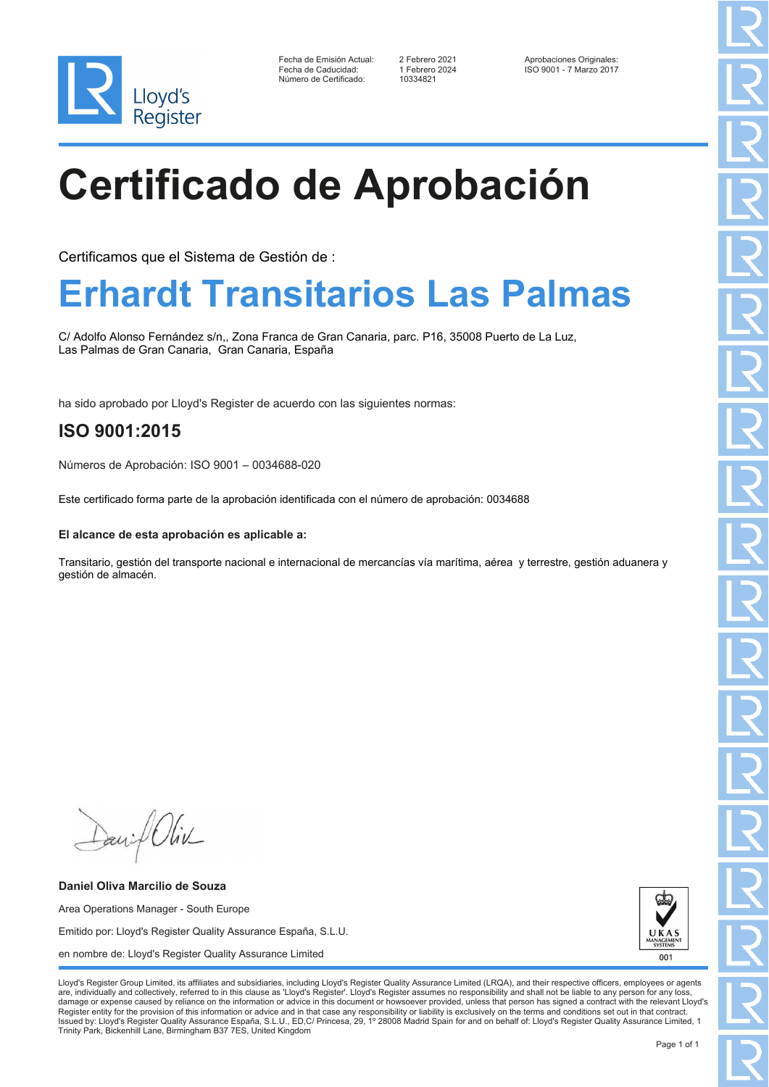

Fecha de Emisión Actual: 2 Febrero 2021 <br>Fecha de Caducidad: 1 Febrero 2024 150 9001 - 7 Marzo 2017 Número de Certificado:

Fecha de Caducidad: 1 Febrero 2024 ISO 9001 - 7 Marzo 2017

# **Certificado de Aprobación**

Certificamos que el Sistema de Gestión de :

## **Erhardt Transitarios Las Palmas**

C/ Adolfo Alonso Fernández s/n,, Zona Franca de Gran Canaria, parc. P16, 35008 Puerto de La Luz, Las Palmas de Gran Canaria, Gran Canaria, España

ha sido aprobado por Lloyd's Register de acuerdo con las siguientes normas:

### **ISO 9001:2015**

Números de Aprobación: ISO 9001 – 0034688-020

Este certificado forma parte de la aprobación identificada con el número de aprobación: 0034688

#### **El alcance de esta aprobación es aplicable a:**

Transitario, gestión del transporte nacional e internacional de mercancías vía marítima, aérea y terrestre, gestión aduanera y gestión de almacén.

Daniel Oliv

**Daniel Oliva Marcilio de Souza** Area Operations Manager - South Europe Emitido por: Lloyd's Register Quality Assurance España, S.L.U. en nombre de: Lloyd's Register Quality Assurance Limited

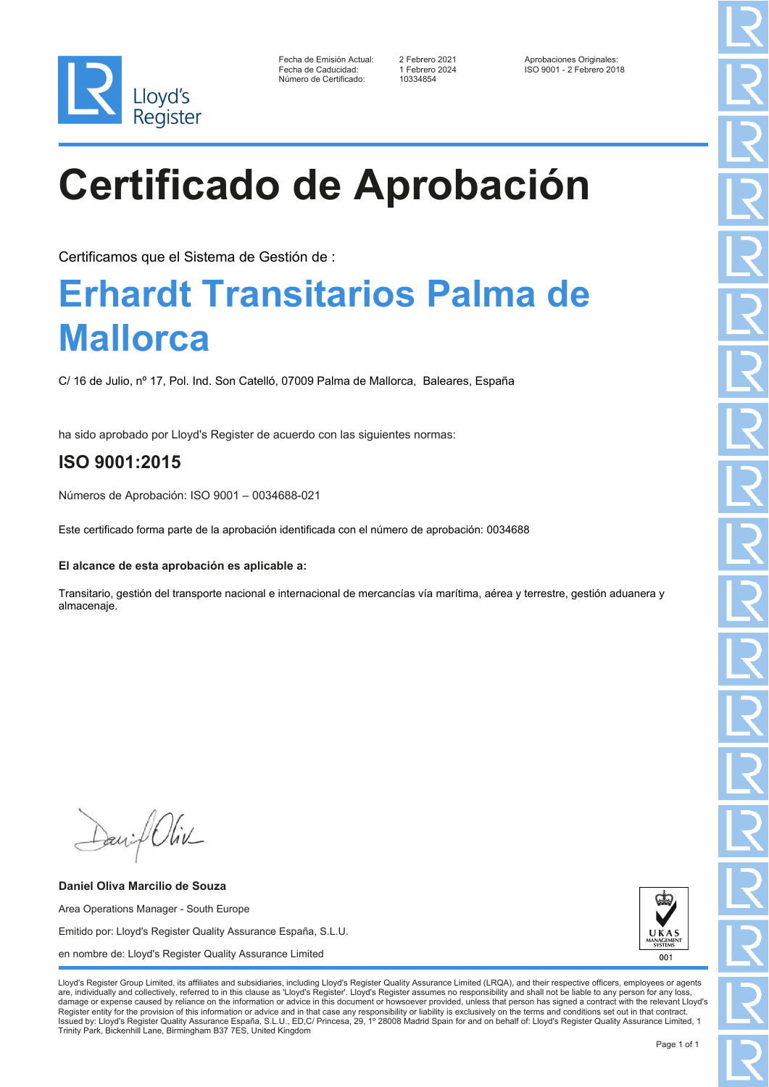

| Fecha de Emisión Actual: |
|--------------------------|
| Fecha de Caducidad:      |
| Número de Certificado:   |

10334854

2 Febrero 2021 <br>1 Febrero 2024 <br>1 ISO 9001 - 2 Febrero 20 Fecha de Caducidad: 1 Febrero 2024 ISO 9001 - 2 Febrero 2018

# **Certificado de Aprobación**

Certificamos que el Sistema de Gestión de :

## **Erhardt Transitarios Palma de Mallorca**

C/ 16 de Julio, nº 17, Pol. Ind. Son Catelló, 07009 Palma de Mallorca, Baleares, España

ha sido aprobado por Lloyd's Register de acuerdo con las siguientes normas:

### **ISO 9001:2015**

Números de Aprobación: ISO 9001 – 0034688-021

Este certificado forma parte de la aprobación identificada con el número de aprobación: 0034688

#### **El alcance de esta aprobación es aplicable a:**

Transitario, gestión del transporte nacional e internacional de mercancías vía marítima, aérea y terrestre, gestión aduanera y almacenaje.

Daniel Oliv

**Daniel Oliva Marcilio de Souza** Area Operations Manager - South Europe Emitido por: Lloyd's Register Quality Assurance España, S.L.U. en nombre de: Lloyd's Register Quality Assurance Limited

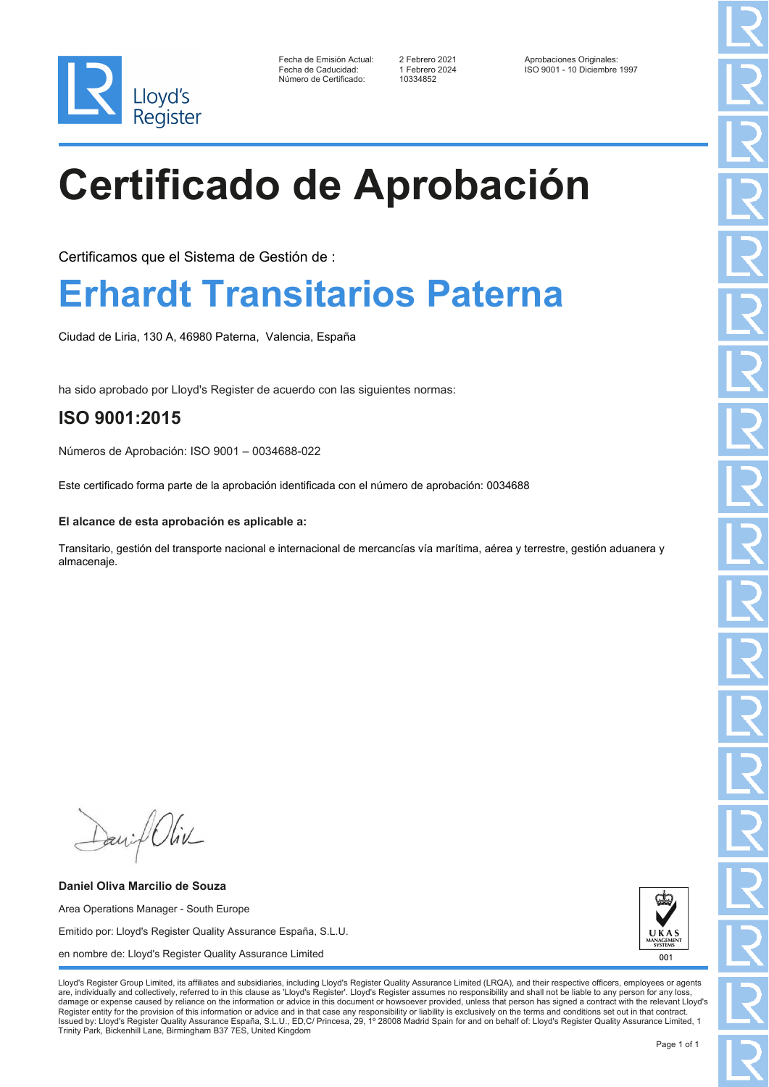

Fecha de Emisión Actual: 2 Febrero 2021 Aprobaciones Originales: Número de Certificado:

Fecha de Caducidad: 1 Febrero 2024 ISO 9001 - 10 Diciembre 1997

# **Certificado de Aprobación**

Certificamos que el Sistema de Gestión de :

## **Erhardt Transitarios Paterna**

Ciudad de Liria, 130 A, 46980 Paterna, Valencia, España

ha sido aprobado por Lloyd's Register de acuerdo con las siguientes normas:

### **ISO 9001:2015**

Números de Aprobación: ISO 9001 – 0034688-022

Este certificado forma parte de la aprobación identificada con el número de aprobación: 0034688

#### **El alcance de esta aprobación es aplicable a:**

Transitario, gestión del transporte nacional e internacional de mercancías vía marítima, aérea y terrestre, gestión aduanera y almacenaje.

Daniel Oliv

**Daniel Oliva Marcilio de Souza** Area Operations Manager - South Europe Emitido por: Lloyd's Register Quality Assurance España, S.L.U. en nombre de: Lloyd's Register Quality Assurance Limited

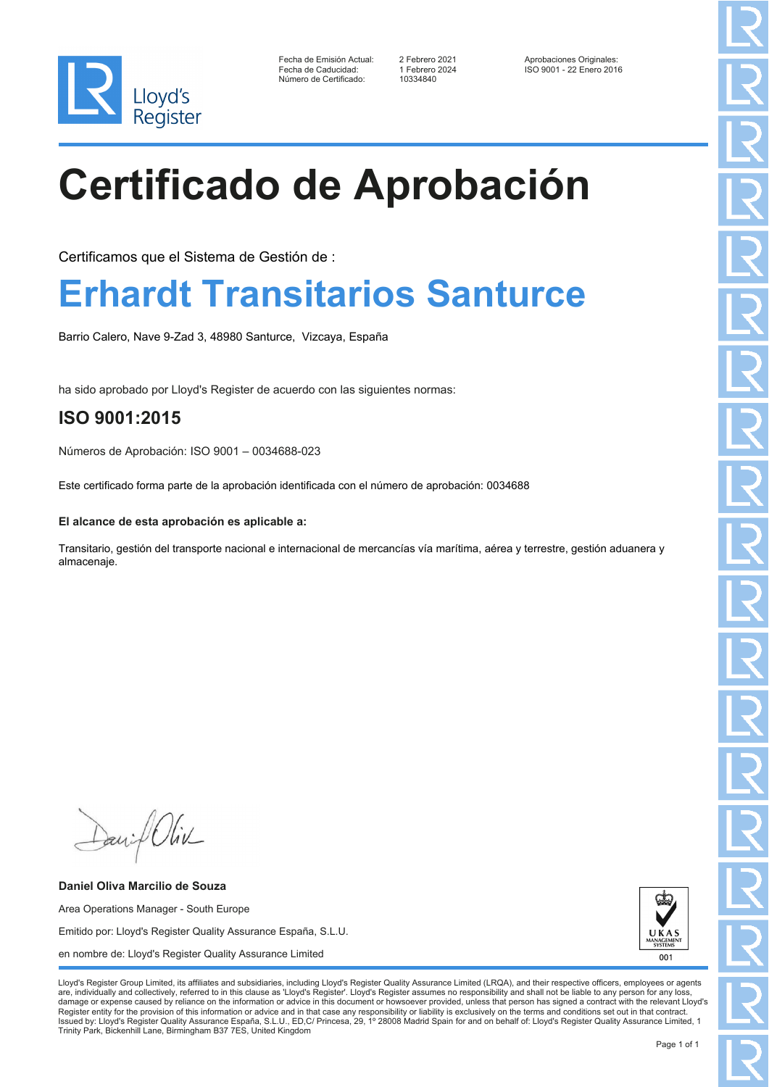

Fecha de Emisión Actual: 2 Febrero 2021 Aprobaciones Originales: Número de Certificado:

Fecha de Caducidad: 1 Febrero 2024 ISO 9001 - 22 Enero 2016

# **Certificado de Aprobación**

Certificamos que el Sistema de Gestión de :

## **Erhardt Transitarios Santurce**

Barrio Calero, Nave 9-Zad 3, 48980 Santurce, Vizcaya, España

ha sido aprobado por Lloyd's Register de acuerdo con las siguientes normas:

### **ISO 9001:2015**

Números de Aprobación: ISO 9001 – 0034688-023

Este certificado forma parte de la aprobación identificada con el número de aprobación: 0034688

#### **El alcance de esta aprobación es aplicable a:**

Transitario, gestión del transporte nacional e internacional de mercancías vía marítima, aérea y terrestre, gestión aduanera y almacenaje.

Daniel Oliv

**Daniel Oliva Marcilio de Souza** Area Operations Manager - South Europe Emitido por: Lloyd's Register Quality Assurance España, S.L.U. en nombre de: Lloyd's Register Quality Assurance Limited